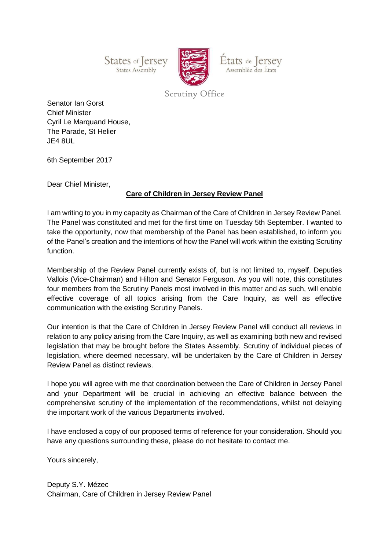States of Jersey States Assembly



États de Jersey Assemblée des États

Scrutiny Office

Senator Ian Gorst Chief Minister Cyril Le Marquand House, The Parade, St Helier JE4 8UL

6th September 2017

Dear Chief Minister,

## **Care of Children in Jersey Review Panel**

I am writing to you in my capacity as Chairman of the Care of Children in Jersey Review Panel. The Panel was constituted and met for the first time on Tuesday 5th September. I wanted to take the opportunity, now that membership of the Panel has been established, to inform you of the Panel's creation and the intentions of how the Panel will work within the existing Scrutiny function.

Membership of the Review Panel currently exists of, but is not limited to, myself, Deputies Vallois (Vice-Chairman) and Hilton and Senator Ferguson. As you will note, this constitutes four members from the Scrutiny Panels most involved in this matter and as such, will enable effective coverage of all topics arising from the Care Inquiry, as well as effective communication with the existing Scrutiny Panels.

Our intention is that the Care of Children in Jersey Review Panel will conduct all reviews in relation to any policy arising from the Care Inquiry, as well as examining both new and revised legislation that may be brought before the States Assembly. Scrutiny of individual pieces of legislation, where deemed necessary, will be undertaken by the Care of Children in Jersey Review Panel as distinct reviews.

I hope you will agree with me that coordination between the Care of Children in Jersey Panel and your Department will be crucial in achieving an effective balance between the comprehensive scrutiny of the implementation of the recommendations, whilst not delaying the important work of the various Departments involved.

I have enclosed a copy of our proposed terms of reference for your consideration. Should you have any questions surrounding these, please do not hesitate to contact me.

Yours sincerely,

Deputy S.Y. Mézec Chairman, Care of Children in Jersey Review Panel